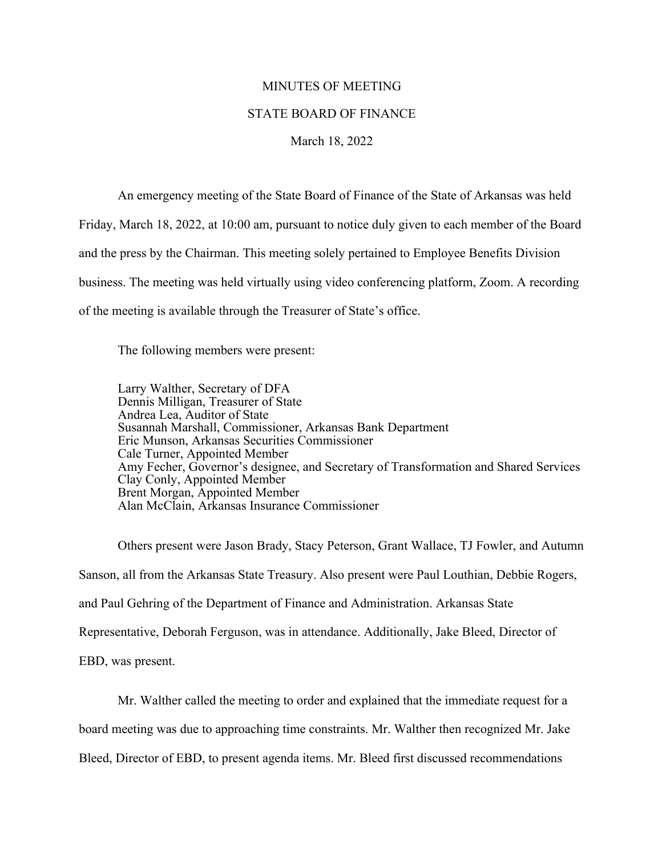## MINUTES OF MEETING

## STATE BOARD OF FINANCE

## March 18, 2022

An emergency meeting of the State Board of Finance of the State of Arkansas was held Friday, March 18, 2022, at 10:00 am, pursuant to notice duly given to each member of the Board and the press by the Chairman. This meeting solely pertained to Employee Benefits Division business. The meeting was held virtually using video conferencing platform, Zoom. A recording of the meeting is available through the Treasurer of State's office.

The following members were present:

Larry Walther, Secretary of DFA Dennis Milligan, Treasurer of State Andrea Lea, Auditor of State Susannah Marshall, Commissioner, Arkansas Bank Department Eric Munson, Arkansas Securities Commissioner Cale Turner, Appointed Member Amy Fecher, Governor's designee, and Secretary of Transformation and Shared Services Clay Conly, Appointed Member Brent Morgan, Appointed Member Alan McClain, Arkansas Insurance Commissioner

Others present were Jason Brady, Stacy Peterson, Grant Wallace, TJ Fowler, and Autumn Sanson, all from the Arkansas State Treasury. Also present were Paul Louthian, Debbie Rogers, and Paul Gehring of the Department of Finance and Administration. Arkansas State Representative, Deborah Ferguson, was in attendance. Additionally, Jake Bleed, Director of EBD, was present.

Mr. Walther called the meeting to order and explained that the immediate request for a

board meeting was due to approaching time constraints. Mr. Walther then recognized Mr. Jake

Bleed, Director of EBD, to present agenda items. Mr. Bleed first discussed recommendations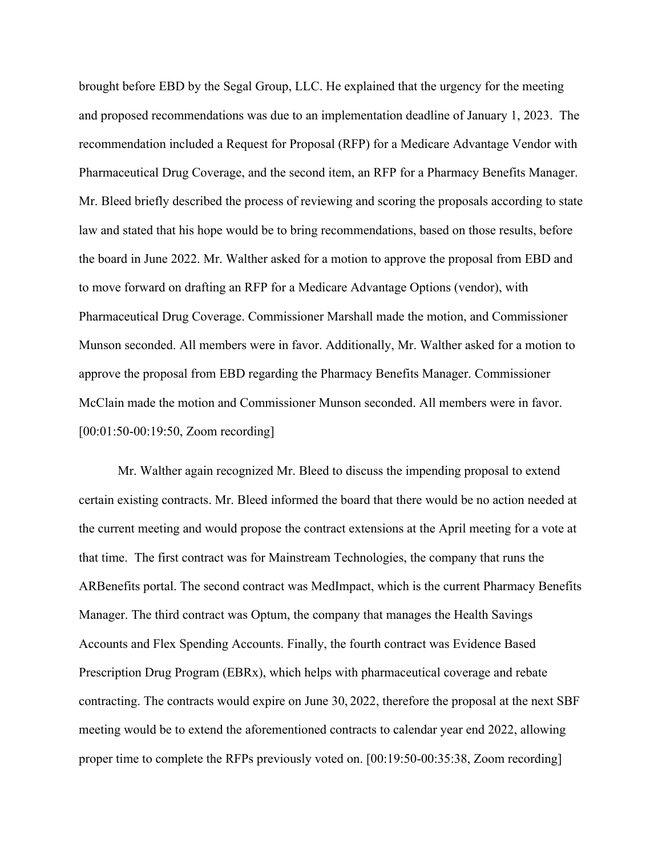brought before EBD by the Segal Group, LLC. He explained that the urgency for the meeting and proposed recommendations was due to an implementation deadline of January 1, 2023. The recommendation included a Request for Proposal (RFP) for a Medicare Advantage Vendor with Pharmaceutical Drug Coverage, and the second item, an RFP for a Pharmacy Benefits Manager. Mr. Bleed briefly described the process of reviewing and scoring the proposals according to state law and stated that his hope would be to bring recommendations, based on those results, before the board in June 2022. Mr. Walther asked for a motion to approve the proposal from EBD and to move forward on drafting an RFP for a Medicare Advantage Options (vendor), with Pharmaceutical Drug Coverage. Commissioner Marshall made the motion, and Commissioner Munson seconded. All members were in favor. Additionally, Mr. Walther asked for a motion to approve the proposal from EBD regarding the Pharmacy Benefits Manager. Commissioner McClain made the motion and Commissioner Munson seconded. All members were in favor. [00:01:50-00:19:50, Zoom recording]

Mr. Walther again recognized Mr. Bleed to discuss the impending proposal to extend certain existing contracts. Mr. Bleed informed the board that there would be no action needed at the current meeting and would propose the contract extensions at the April meeting for a vote at that time. The first contract was for Mainstream Technologies, the company that runs the ARBenefits portal. The second contract was MedImpact, which is the current Pharmacy Benefits Manager. The third contract was Optum, the company that manages the Health Savings Accounts and Flex Spending Accounts. Finally, the fourth contract was Evidence Based Prescription Drug Program (EBRx), which helps with pharmaceutical coverage and rebate contracting. The contracts would expire on June 30, 2022, therefore the proposal at the next SBF meeting would be to extend the aforementioned contracts to calendar year end 2022, allowing proper time to complete the RFPs previously voted on. [00:19:50-00:35:38, Zoom recording]